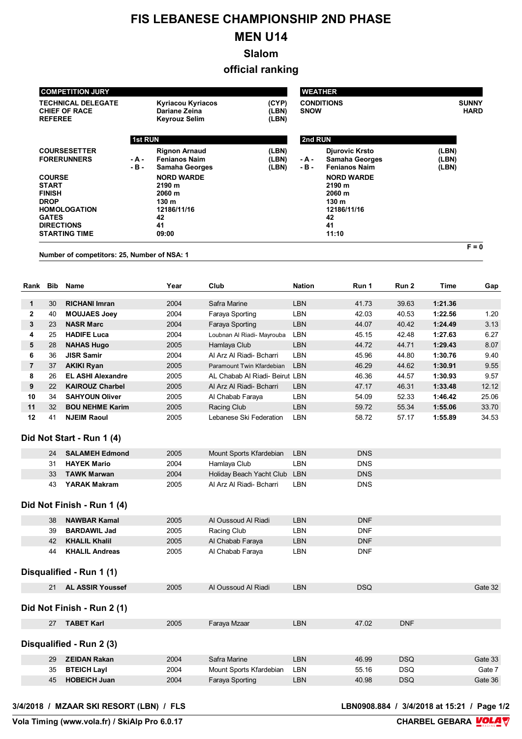## **FIS LEBANESE CHAMPIONSHIP 2ND PHASE**

## **MEN U14**

**Slalom**

**official ranking**

| <b>COMPETITION JURY</b>                                             |                                             |                 |                                                                       |                                                             |                         | <b>WEATHER</b>  |                                                                 |              |                             |         |  |  |
|---------------------------------------------------------------------|---------------------------------------------|-----------------|-----------------------------------------------------------------------|-------------------------------------------------------------|-------------------------|-----------------|-----------------------------------------------------------------|--------------|-----------------------------|---------|--|--|
| <b>TECHNICAL DELEGATE</b><br><b>CHIEF OF RACE</b><br><b>REFEREE</b> |                                             |                 | <b>Kyriacou Kyriacos</b><br>Dariane Zeina<br><b>Keyrouz Selim</b>     | <b>CONDITIONS</b><br>(CYP)<br>(LBN)<br><b>SNOW</b><br>(LBN) |                         |                 |                                                                 |              | <b>SUNNY</b><br><b>HARD</b> |         |  |  |
|                                                                     |                                             | <b>1st RUN</b>  |                                                                       |                                                             |                         | 2nd RUN         |                                                                 |              |                             |         |  |  |
|                                                                     | <b>COURSESETTER</b><br><b>FORERUNNERS</b>   | - A -<br>$-B -$ | <b>Rignon Arnaud</b><br><b>Fenianos Naim</b><br><b>Samaha Georges</b> |                                                             | (LBN)<br>(LBN)<br>(LBN) | - A -<br>$-B -$ | Djurovic Krsto<br><b>Samaha Georges</b><br><b>Fenianos Naim</b> |              | (LBN)<br>(LBN)<br>(LBN)     |         |  |  |
| <b>COURSE</b><br><b>START</b><br><b>FINISH</b>                      |                                             |                 | <b>NORD WARDE</b><br>2190 m<br>2060 m                                 |                                                             |                         |                 | <b>NORD WARDE</b><br>2190 m<br>2060 m                           |              |                             |         |  |  |
| <b>DROP</b><br><b>GATES</b>                                         | <b>HOMOLOGATION</b>                         |                 | 130 m<br>12186/11/16<br>42                                            |                                                             |                         |                 | 130 m<br>12186/11/16<br>42                                      |              |                             |         |  |  |
|                                                                     | <b>DIRECTIONS</b><br><b>STARTING TIME</b>   |                 | 41<br>09:00                                                           |                                                             |                         |                 | 41<br>11:10                                                     |              |                             |         |  |  |
|                                                                     | Number of competitors: 25, Number of NSA: 1 |                 |                                                                       |                                                             |                         |                 |                                                                 |              |                             | $F = 0$ |  |  |
|                                                                     |                                             |                 |                                                                       |                                                             |                         |                 |                                                                 |              |                             |         |  |  |
| Rank<br>Bib                                                         | Name                                        |                 | Year                                                                  | Club                                                        |                         | <b>Nation</b>   | Run 1                                                           | Run 2        | Time                        | Gap     |  |  |
| າ∩<br>$\overline{ }$                                                | <b>DICUANIL</b> Impor                       |                 | 2001                                                                  | Cofro Morino                                                |                         | I DNI           | 1170                                                            | <b>פה חכ</b> | 1.21.20                     |         |  |  |

|              | 30 | <b>RICHANI Imran</b>     | 2004 | Safra Marine                   | LBN        | 41.73 | 39.63 | 1:21.36 |       |
|--------------|----|--------------------------|------|--------------------------------|------------|-------|-------|---------|-------|
| $\mathbf{2}$ | 40 | <b>MOUJAES Joey</b>      | 2004 | Faraya Sporting                | LBN        | 42.03 | 40.53 | 1:22.56 | 1.20  |
| 3            | 23 | <b>NASR Marc</b>         | 2004 | Faraya Sporting                | <b>LBN</b> | 44.07 | 40.42 | 1:24.49 | 3.13  |
| 4            | 25 | <b>HADIFE Luca</b>       | 2004 | Loubnan Al Riadi- Mayrouba     | LBN        | 45.15 | 42.48 | 1:27.63 | 6.27  |
| 5            | 28 | <b>NAHAS Hugo</b>        | 2005 | Hamlaya Club                   | <b>LBN</b> | 44.72 | 44.71 | 1:29.43 | 8.07  |
| 6            | 36 | <b>JISR Samir</b>        | 2004 | Al Arz Al Riadi- Bcharri       | LBN        | 45.96 | 44.80 | 1:30.76 | 9.40  |
| 7            | 37 | <b>AKIKI Ryan</b>        | 2005 | Paramount Twin Kfardebian      | <b>LBN</b> | 46.29 | 44.62 | 1:30.91 | 9.55  |
| 8            | 26 | <b>EL ASHI Alexandre</b> | 2005 | AL Chabab Al Riadi- Beirut LBN |            | 46.36 | 44.57 | 1:30.93 | 9.57  |
| 9            | 22 | <b>KAIROUZ Charbel</b>   | 2005 | Al Arz Al Riadi- Bcharri       | <b>LBN</b> | 47.17 | 46.31 | 1:33.48 | 12.12 |
| 10           | 34 | <b>SAHYOUN Oliver</b>    | 2005 | Al Chabab Faraya               | LBN        | 54.09 | 52.33 | 1:46.42 | 25.06 |
| 11           | 32 | <b>BOU NEHME Karim</b>   | 2005 | Racing Club                    | <b>LBN</b> | 59.72 | 55.34 | 1:55.06 | 33.70 |
| 12           | 41 | <b>NJEIM Raoul</b>       | 2005 | Lebanese Ski Federation        | LBN        | 58.72 | 57.17 | 1:55.89 | 34.53 |

## **Did Not Start - Run 1 (4)**

| 24 | <b>SALAMEH Edmond</b> | 2005 | Mount Sports Kfardebian      | <b>LBN</b> | DNS |
|----|-----------------------|------|------------------------------|------------|-----|
| 31 | <b>HAYEK Mario</b>    | 2004 | Hamlaya Club                 | LBN.       | DNS |
| 33 | <b>TAWK Marwan</b>    | 2004 | Holiday Beach Yacht Club LBN |            | DNS |
| 43 | YARAK Makram          | 2005 | Al Arz Al Riadi- Bcharri     | ∟BN        | DNS |

## **Did Not Finish - Run 1 (4)**

| 38<br><b>NAWBAR Kamal</b>   | 2005 | Al Oussoud Al Riadi | LBN. | <b>DNF</b> |  |
|-----------------------------|------|---------------------|------|------------|--|
| <b>BARDAWIL Jad</b><br>39   | 2005 | Racing Club         | -BN  | DNF        |  |
| KHALIL Khalil<br>42         | 2005 | Al Chabab Faraya    | ∟BN  | <b>DNF</b> |  |
| <b>KHALIL Andreas</b><br>44 | 2005 | Al Chabab Faraya    | ∟BN  | DNF        |  |

**Disqualified - Run 1 (1)**

| 21 | <b>AL ASSIR Youssef</b>    | 2005 | Al Oussoud Al Riadi     | <b>LBN</b> | <b>DSQ</b> |            | Gate 32 |
|----|----------------------------|------|-------------------------|------------|------------|------------|---------|
|    | Did Not Finish - Run 2 (1) |      |                         |            |            |            |         |
| 27 | <b>TABET Karl</b>          | 2005 | Faraya Mzaar            | <b>LBN</b> | 47.02      | <b>DNF</b> |         |
|    | Disqualified - Run 2 (3)   |      |                         |            |            |            |         |
| 29 | <b>ZEIDAN Rakan</b>        | 2004 | Safra Marine            | LBN        | 46.99      | <b>DSQ</b> | Gate 33 |
| 35 | <b>BTEICH Layl</b>         | 2004 | Mount Sports Kfardebian | LBN        | 55.16      | <b>DSQ</b> | Gate 7  |
| 45 | <b>HOBEICH Juan</b>        | 2004 | Faraya Sporting         | LBN        | 40.98      | <b>DSQ</b> | Gate 36 |

3/4/2018 / MZAAR SKI RESORT (LBN) / FLS

LBN0908.884 / 3/4/2018 at 15:21 / Page 1/2<br>CHARBEL GEBARA **MOLA**